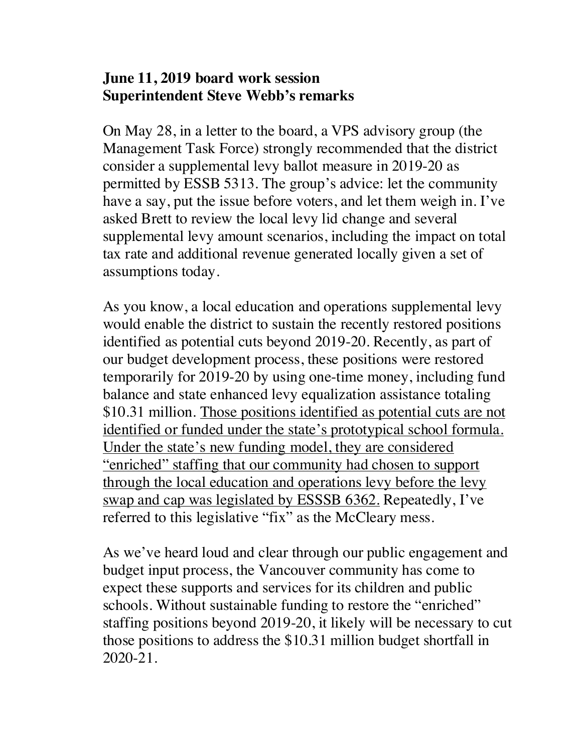## **June 11, 2019 board work session Superintendent Steve Webb's remarks**

On May 28, in a letter to the board, a VPS advisory group (the Management Task Force) strongly recommended that the district consider a supplemental levy ballot measure in 2019-20 as permitted by ESSB 5313. The group's advice: let the community have a say, put the issue before voters, and let them weigh in. I've asked Brett to review the local levy lid change and several supplemental levy amount scenarios, including the impact on total tax rate and additional revenue generated locally given a set of assumptions today.

As you know, a local education and operations supplemental levy would enable the district to sustain the recently restored positions identified as potential cuts beyond 2019-20. Recently, as part of our budget development process, these positions were restored temporarily for 2019-20 by using one-time money, including fund balance and state enhanced levy equalization assistance totaling \$10.31 million. Those positions identified as potential cuts are not identified or funded under the state's prototypical school formula. Under the state's new funding model, they are considered "enriched" staffing that our community had chosen to support through the local education and operations levy before the levy swap and cap was legislated by ESSSB 6362. Repeatedly, I've referred to this legislative "fix" as the McCleary mess.

As we've heard loud and clear through our public engagement and budget input process, the Vancouver community has come to expect these supports and services for its children and public schools. Without sustainable funding to restore the "enriched" staffing positions beyond 2019-20, it likely will be necessary to cut those positions to address the \$10.31 million budget shortfall in 2020-21.